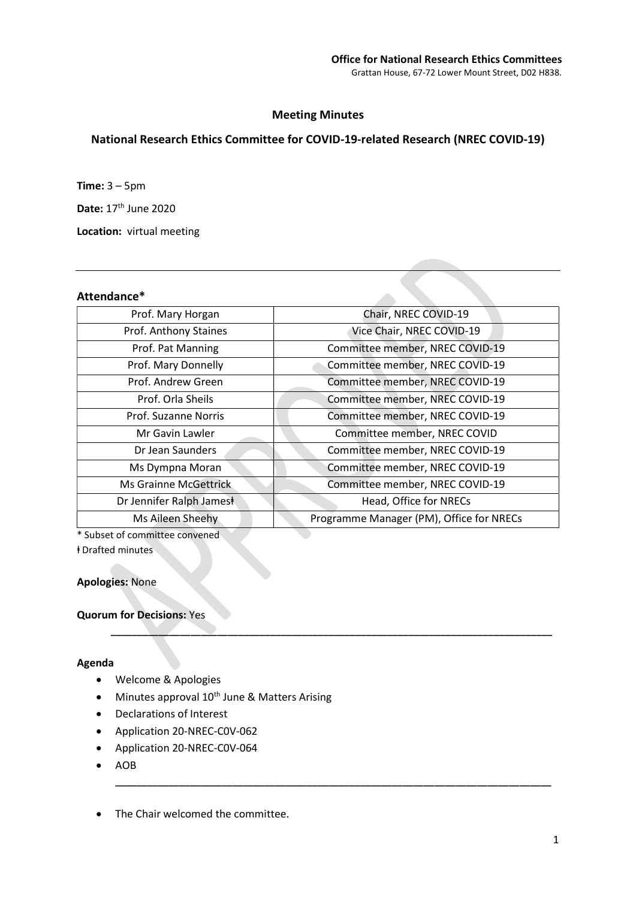## Meeting Minutes

# National Research Ethics Committee for COVID-19-related Research (NREC COVID-19)

**Time:**  $3 - 5$ pm

Date: 17th June 2020

Location: virtual meeting

### Attendance\*

| Prof. Mary Horgan            | Chair, NREC COVID-19                     |
|------------------------------|------------------------------------------|
| Prof. Anthony Staines        | Vice Chair, NREC COVID-19                |
| Prof. Pat Manning            | Committee member, NREC COVID-19          |
| Prof. Mary Donnelly          | Committee member, NREC COVID-19          |
| Prof. Andrew Green           | Committee member, NREC COVID-19          |
| Prof. Orla Sheils            | Committee member, NREC COVID-19          |
| Prof. Suzanne Norris         | Committee member, NREC COVID-19          |
| Mr Gavin Lawler              | Committee member, NREC COVID             |
| Dr Jean Saunders             | Committee member, NREC COVID-19          |
| Ms Dympna Moran              | Committee member, NREC COVID-19          |
| <b>Ms Grainne McGettrick</b> | Committee member, NREC COVID-19          |
| Dr Jennifer Ralph Jamest     | Head, Office for NRECs                   |
| Ms Aileen Sheehy             | Programme Manager (PM), Office for NRECs |
|                              |                                          |

\_\_\_\_\_\_\_\_\_\_\_\_\_\_\_\_\_\_\_\_\_\_\_\_\_\_\_\_\_\_\_\_\_\_\_\_\_\_\_\_\_\_\_\_\_\_\_\_\_\_\_\_\_\_\_\_\_\_\_\_\_\_\_\_\_\_\_\_\_\_\_\_\_\_\_\_\_\_\_\_\_\_\_

\_\_\_\_\_\_\_\_\_\_\_\_\_\_\_\_\_\_\_\_\_\_\_\_\_\_\_\_\_\_\_\_\_\_\_\_\_\_\_\_\_\_\_\_\_\_\_\_\_\_\_\_\_\_\_\_\_\_\_\_\_\_\_\_\_\_\_\_\_\_\_\_\_\_\_\_\_\_\_\_\_\_

\* Subset of committee convened

ⱡ Drafted minutes

Apologies: None

Quorum for Decisions: Yes

### Agenda

- Welcome & Apologies
- Minutes approval 10<sup>th</sup> June & Matters Arising
- Declarations of Interest
- Application 20-NREC-C0V-062
- Application 20-NREC-C0V-064
- AOB

• The Chair welcomed the committee.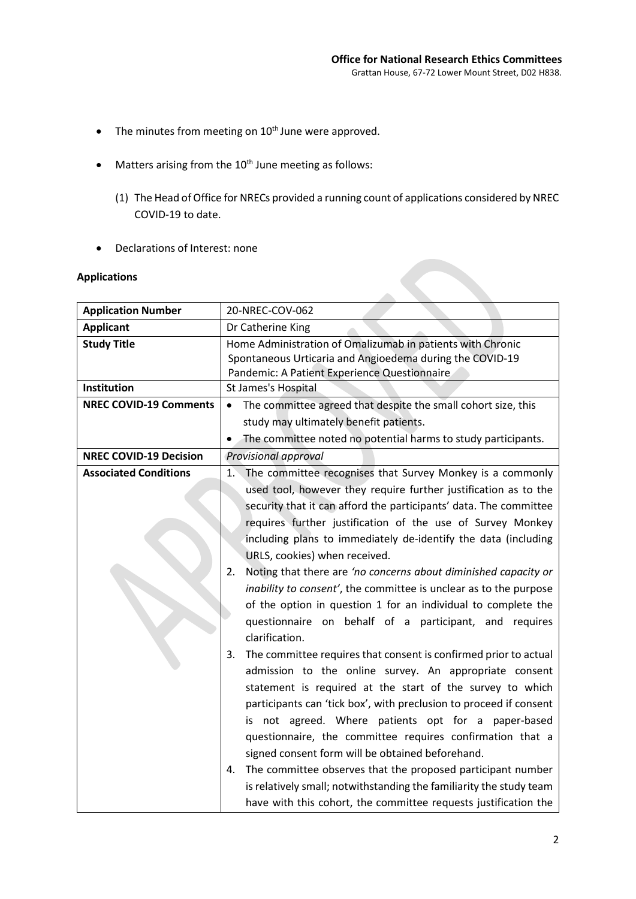- $\bullet$  The minutes from meeting on  $10^{\text{th}}$  June were approved.
- $\bullet$  Matters arising from the 10<sup>th</sup> June meeting as follows:
	- (1) The Head of Office for NRECs provided a running count of applications considered by NREC COVID-19 to date.
- Declarations of Interest: none

# Applications

| <b>Application Number</b>     | 20-NREC-COV-062                                                                                                                                                                                                                                                                                                                                                                                                                                                                                                                                                                                                                                                                                                                                                                                                                                                                                                                                                                                                                                                                                                    |
|-------------------------------|--------------------------------------------------------------------------------------------------------------------------------------------------------------------------------------------------------------------------------------------------------------------------------------------------------------------------------------------------------------------------------------------------------------------------------------------------------------------------------------------------------------------------------------------------------------------------------------------------------------------------------------------------------------------------------------------------------------------------------------------------------------------------------------------------------------------------------------------------------------------------------------------------------------------------------------------------------------------------------------------------------------------------------------------------------------------------------------------------------------------|
| <b>Applicant</b>              | Dr Catherine King                                                                                                                                                                                                                                                                                                                                                                                                                                                                                                                                                                                                                                                                                                                                                                                                                                                                                                                                                                                                                                                                                                  |
| <b>Study Title</b>            | Home Administration of Omalizumab in patients with Chronic<br>Spontaneous Urticaria and Angioedema during the COVID-19<br>Pandemic: A Patient Experience Questionnaire                                                                                                                                                                                                                                                                                                                                                                                                                                                                                                                                                                                                                                                                                                                                                                                                                                                                                                                                             |
| Institution                   | St James's Hospital                                                                                                                                                                                                                                                                                                                                                                                                                                                                                                                                                                                                                                                                                                                                                                                                                                                                                                                                                                                                                                                                                                |
| <b>NREC COVID-19 Comments</b> | The committee agreed that despite the small cohort size, this<br>$\bullet$                                                                                                                                                                                                                                                                                                                                                                                                                                                                                                                                                                                                                                                                                                                                                                                                                                                                                                                                                                                                                                         |
|                               | study may ultimately benefit patients.                                                                                                                                                                                                                                                                                                                                                                                                                                                                                                                                                                                                                                                                                                                                                                                                                                                                                                                                                                                                                                                                             |
|                               | The committee noted no potential harms to study participants.                                                                                                                                                                                                                                                                                                                                                                                                                                                                                                                                                                                                                                                                                                                                                                                                                                                                                                                                                                                                                                                      |
| <b>NREC COVID-19 Decision</b> | Provisional approval                                                                                                                                                                                                                                                                                                                                                                                                                                                                                                                                                                                                                                                                                                                                                                                                                                                                                                                                                                                                                                                                                               |
| <b>Associated Conditions</b>  | The committee recognises that Survey Monkey is a commonly<br>1.<br>used tool, however they require further justification as to the<br>security that it can afford the participants' data. The committee<br>requires further justification of the use of Survey Monkey<br>including plans to immediately de-identify the data (including<br>URLS, cookies) when received.<br>Noting that there are 'no concerns about diminished capacity or<br>2.<br>inability to consent', the committee is unclear as to the purpose<br>of the option in question 1 for an individual to complete the<br>questionnaire on behalf of a participant, and requires<br>clarification.<br>The committee requires that consent is confirmed prior to actual<br>3.<br>admission to the online survey. An appropriate consent<br>statement is required at the start of the survey to which<br>participants can 'tick box', with preclusion to proceed if consent<br>is not agreed. Where patients opt for a paper-based<br>questionnaire, the committee requires confirmation that a<br>signed consent form will be obtained beforehand. |
|                               | The committee observes that the proposed participant number<br>4.<br>is relatively small; notwithstanding the familiarity the study team<br>have with this cohort, the committee requests justification the                                                                                                                                                                                                                                                                                                                                                                                                                                                                                                                                                                                                                                                                                                                                                                                                                                                                                                        |